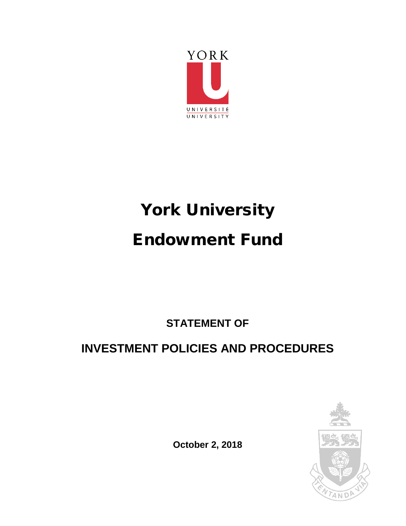

# York University Endowment Fund

**STATEMENT OF** 

# **INVESTMENT POLICIES AND PROCEDURES**



**October 2, 2018**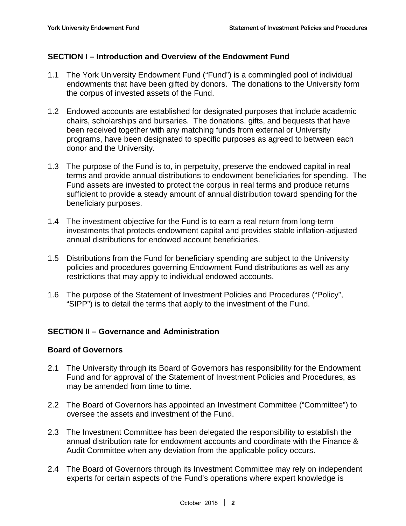#### **SECTION I – Introduction and Overview of the Endowment Fund**

- 1.1 The York University Endowment Fund ("Fund") is a commingled pool of individual endowments that have been gifted by donors. The donations to the University form the corpus of invested assets of the Fund.
- 1.2 Endowed accounts are established for designated purposes that include academic chairs, scholarships and bursaries. The donations, gifts, and bequests that have been received together with any matching funds from external or University programs, have been designated to specific purposes as agreed to between each donor and the University.
- 1.3 The purpose of the Fund is to, in perpetuity, preserve the endowed capital in real terms and provide annual distributions to endowment beneficiaries for spending. The Fund assets are invested to protect the corpus in real terms and produce returns sufficient to provide a steady amount of annual distribution toward spending for the beneficiary purposes.
- 1.4 The investment objective for the Fund is to earn a real return from long-term investments that protects endowment capital and provides stable inflation-adjusted annual distributions for endowed account beneficiaries.
- 1.5 Distributions from the Fund for beneficiary spending are subject to the University policies and procedures governing Endowment Fund distributions as well as any restrictions that may apply to individual endowed accounts.
- 1.6 The purpose of the Statement of Investment Policies and Procedures ("Policy", "SIPP") is to detail the terms that apply to the investment of the Fund.

#### **SECTION II – Governance and Administration**

#### **Board of Governors**

- 2.1 The University through its Board of Governors has responsibility for the Endowment Fund and for approval of the Statement of Investment Policies and Procedures, as may be amended from time to time.
- 2.2 The Board of Governors has appointed an Investment Committee ("Committee") to oversee the assets and investment of the Fund.
- 2.3 The Investment Committee has been delegated the responsibility to establish the annual distribution rate for endowment accounts and coordinate with the Finance & Audit Committee when any deviation from the applicable policy occurs.
- 2.4 The Board of Governors through its Investment Committee may rely on independent experts for certain aspects of the Fund's operations where expert knowledge is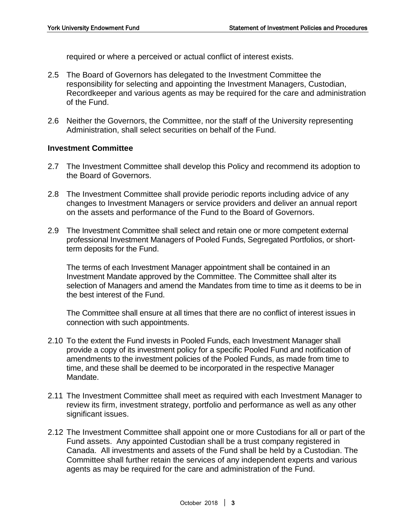required or where a perceived or actual conflict of interest exists.

- 2.5 The Board of Governors has delegated to the Investment Committee the responsibility for selecting and appointing the Investment Managers, Custodian, Recordkeeper and various agents as may be required for the care and administration of the Fund.
- 2.6 Neither the Governors, the Committee, nor the staff of the University representing Administration, shall select securities on behalf of the Fund.

#### **Investment Committee**

- 2.7 The Investment Committee shall develop this Policy and recommend its adoption to the Board of Governors.
- 2.8 The Investment Committee shall provide periodic reports including advice of any changes to Investment Managers or service providers and deliver an annual report on the assets and performance of the Fund to the Board of Governors.
- 2.9 The Investment Committee shall select and retain one or more competent external professional Investment Managers of Pooled Funds, Segregated Portfolios, or shortterm deposits for the Fund.

The terms of each Investment Manager appointment shall be contained in an Investment Mandate approved by the Committee. The Committee shall alter its selection of Managers and amend the Mandates from time to time as it deems to be in the best interest of the Fund.

The Committee shall ensure at all times that there are no conflict of interest issues in connection with such appointments.

- 2.10 To the extent the Fund invests in Pooled Funds, each Investment Manager shall provide a copy of its investment policy for a specific Pooled Fund and notification of amendments to the investment policies of the Pooled Funds, as made from time to time, and these shall be deemed to be incorporated in the respective Manager Mandate.
- 2.11 The Investment Committee shall meet as required with each Investment Manager to review its firm, investment strategy, portfolio and performance as well as any other significant issues.
- 2.12 The Investment Committee shall appoint one or more Custodians for all or part of the Fund assets. Any appointed Custodian shall be a trust company registered in Canada. All investments and assets of the Fund shall be held by a Custodian. The Committee shall further retain the services of any independent experts and various agents as may be required for the care and administration of the Fund.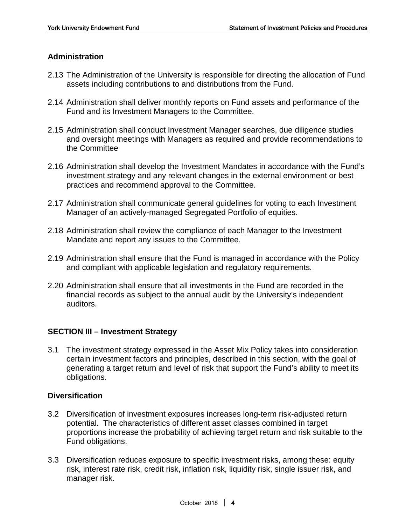#### **Administration**

- 2.13 The Administration of the University is responsible for directing the allocation of Fund assets including contributions to and distributions from the Fund.
- 2.14 Administration shall deliver monthly reports on Fund assets and performance of the Fund and its Investment Managers to the Committee.
- 2.15 Administration shall conduct Investment Manager searches, due diligence studies and oversight meetings with Managers as required and provide recommendations to the Committee
- 2.16 Administration shall develop the Investment Mandates in accordance with the Fund's investment strategy and any relevant changes in the external environment or best practices and recommend approval to the Committee.
- 2.17 Administration shall communicate general guidelines for voting to each Investment Manager of an actively-managed Segregated Portfolio of equities.
- 2.18 Administration shall review the compliance of each Manager to the Investment Mandate and report any issues to the Committee.
- 2.19 Administration shall ensure that the Fund is managed in accordance with the Policy and compliant with applicable legislation and regulatory requirements.
- 2.20 Administration shall ensure that all investments in the Fund are recorded in the financial records as subject to the annual audit by the University's independent auditors.

#### **SECTION III – Investment Strategy**

3.1 The investment strategy expressed in the Asset Mix Policy takes into consideration certain investment factors and principles, described in this section, with the goal of generating a target return and level of risk that support the Fund's ability to meet its obligations.

#### **Diversification**

- 3.2 Diversification of investment exposures increases long-term risk-adjusted return potential. The characteristics of different asset classes combined in target proportions increase the probability of achieving target return and risk suitable to the Fund obligations.
- 3.3 Diversification reduces exposure to specific investment risks, among these: equity risk, interest rate risk, credit risk, inflation risk, liquidity risk, single issuer risk, and manager risk.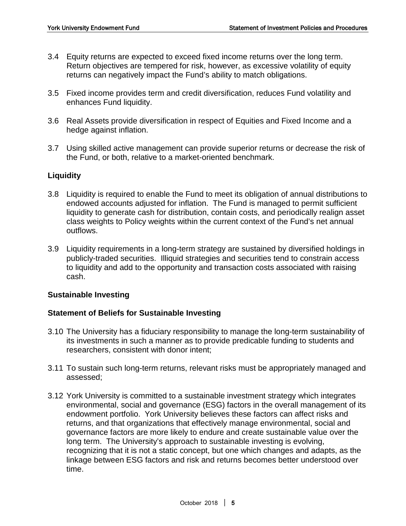- 3.4 Equity returns are expected to exceed fixed income returns over the long term. Return objectives are tempered for risk, however, as excessive volatility of equity returns can negatively impact the Fund's ability to match obligations.
- 3.5 Fixed income provides term and credit diversification, reduces Fund volatility and enhances Fund liquidity.
- 3.6 Real Assets provide diversification in respect of Equities and Fixed Income and a hedge against inflation.
- 3.7 Using skilled active management can provide superior returns or decrease the risk of the Fund, or both, relative to a market-oriented benchmark.

#### **Liquidity**

- 3.8 Liquidity is required to enable the Fund to meet its obligation of annual distributions to endowed accounts adjusted for inflation. The Fund is managed to permit sufficient liquidity to generate cash for distribution, contain costs, and periodically realign asset class weights to Policy weights within the current context of the Fund's net annual outflows.
- 3.9 Liquidity requirements in a long-term strategy are sustained by diversified holdings in publicly-traded securities. Illiquid strategies and securities tend to constrain access to liquidity and add to the opportunity and transaction costs associated with raising cash.

#### **Sustainable Investing**

#### **Statement of Beliefs for Sustainable Investing**

- 3.10 The University has a fiduciary responsibility to manage the long-term sustainability of its investments in such a manner as to provide predicable funding to students and researchers, consistent with donor intent;
- 3.11 To sustain such long-term returns, relevant risks must be appropriately managed and assessed;
- 3.12 York University is committed to a sustainable investment strategy which integrates environmental, social and governance (ESG) factors in the overall management of its endowment portfolio. York University believes these factors can affect risks and returns, and that organizations that effectively manage environmental, social and governance factors are more likely to endure and create sustainable value over the long term. The University's approach to sustainable investing is evolving, recognizing that it is not a static concept, but one which changes and adapts, as the linkage between ESG factors and risk and returns becomes better understood over time.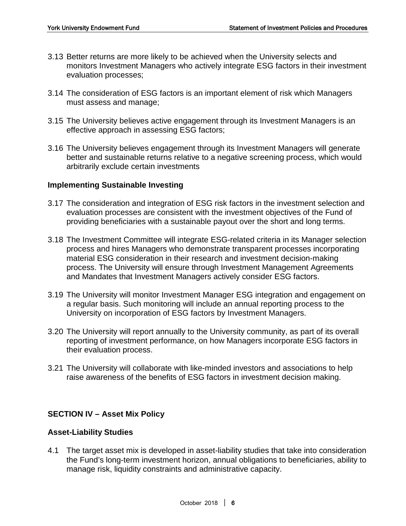- 3.13 Better returns are more likely to be achieved when the University selects and monitors Investment Managers who actively integrate ESG factors in their investment evaluation processes;
- 3.14 The consideration of ESG factors is an important element of risk which Managers must assess and manage;
- 3.15 The University believes active engagement through its Investment Managers is an effective approach in assessing ESG factors;
- 3.16 The University believes engagement through its Investment Managers will generate better and sustainable returns relative to a negative screening process, which would arbitrarily exclude certain investments

#### **Implementing Sustainable Investing**

- 3.17 The consideration and integration of ESG risk factors in the investment selection and evaluation processes are consistent with the investment objectives of the Fund of providing beneficiaries with a sustainable payout over the short and long terms.
- 3.18 The Investment Committee will integrate ESG-related criteria in its Manager selection process and hires Managers who demonstrate transparent processes incorporating material ESG consideration in their research and investment decision-making process. The University will ensure through Investment Management Agreements and Mandates that Investment Managers actively consider ESG factors.
- 3.19 The University will monitor Investment Manager ESG integration and engagement on a regular basis. Such monitoring will include an annual reporting process to the University on incorporation of ESG factors by Investment Managers.
- 3.20 The University will report annually to the University community, as part of its overall reporting of investment performance, on how Managers incorporate ESG factors in their evaluation process.
- 3.21 The University will collaborate with like-minded investors and associations to help raise awareness of the benefits of ESG factors in investment decision making.

#### **SECTION IV – Asset Mix Policy**

#### **Asset-Liability Studies**

4.1 The target asset mix is developed in asset-liability studies that take into consideration the Fund's long-term investment horizon, annual obligations to beneficiaries, ability to manage risk, liquidity constraints and administrative capacity.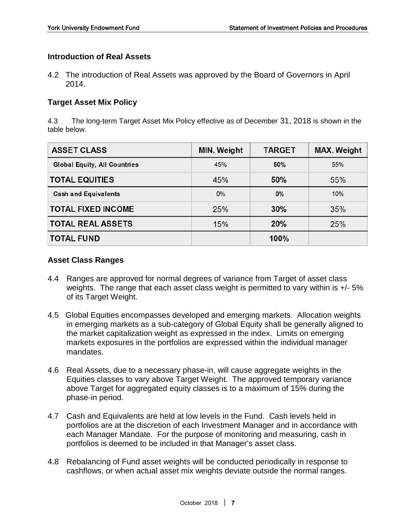#### **Introduction of Real Assets**

4.2 The introduction of Real Assets was approved by the Board of Governors in April 2014.

#### **Target Asset Mix Policy**

4.3 The long-term Target Asset Mix Policy effective as of December 31, 2018 is shown in the table below.

| <b>ASSET CLASS</b>                  | <b>MIN. Weight</b> | <b>TARGET</b> | <b>MAX. Weight</b> |
|-------------------------------------|--------------------|---------------|--------------------|
| <b>Global Equity, All Countries</b> | 45%                | 50%           | 55%                |
| <b>TOTAL EQUITIES</b>               | 45%                | 50%           | 55%                |
| <b>Cash and Equivalents</b>         | $0\%$              | 0%            | 10%                |
| <b>TOTAL FIXED INCOME</b>           | 25%                | 30%           | 35%                |
| <b>TOTAL REAL ASSETS</b>            | 15%                | 20%           | 25%                |
| <b>TOTAL FUND</b>                   |                    | 100%          |                    |

#### **Asset Class Ranges**

- 4.4 Ranges are approved for normal degrees of variance from Target of asset class weights. The range that each asset class weight is permitted to vary within is  $+/-5\%$ of its Target Weight.
- 4.5 Global Equities encompasses developed and emerging markets. Allocation weights in emerging markets as a sub-category of Global Equity shall be generally aligned to the market capitalization weight as expressed in the index. Limits on emerging markets exposures in the portfolios are expressed within the individual manager mandates.
- 4.6 Real Assets, due to a necessary phase-in, will cause aggregate weights in the Equities classes to vary above Target Weight. The approved temporary variance above Target for aggregated equity classes is to a maximum of 15% during the phase-in period.
- 4.7 Cash and Equivalents are held at low levels in the Fund. Cash levels held in portfolios are at the discretion of each Investment Manager and in accordance with each Manager Mandate. For the purpose of monitoring and measuring, cash in portfolios is deemed to be included in that Manager's asset class.
- 4.8 Rebalancing of Fund asset weights will be conducted periodically in response to cashflows, or when actual asset mix weights deviate outside the normal ranges.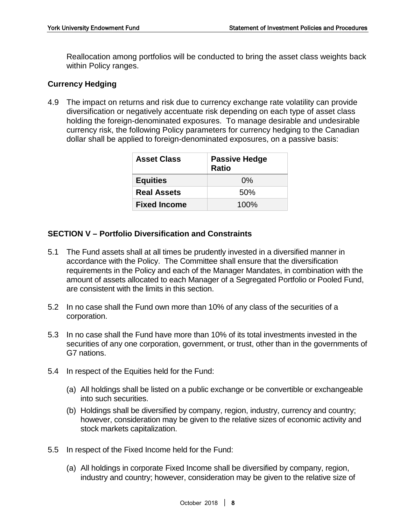Reallocation among portfolios will be conducted to bring the asset class weights back within Policy ranges.

#### **Currency Hedging**

4.9 The impact on returns and risk due to currency exchange rate volatility can provide diversification or negatively accentuate risk depending on each type of asset class holding the foreign-denominated exposures. To manage desirable and undesirable currency risk, the following Policy parameters for currency hedging to the Canadian dollar shall be applied to foreign-denominated exposures, on a passive basis:

| <b>Asset Class</b>  | <b>Passive Hedge</b><br><b>Ratio</b> |  |  |
|---------------------|--------------------------------------|--|--|
| <b>Equities</b>     | $0\%$                                |  |  |
| <b>Real Assets</b>  | 50%                                  |  |  |
| <b>Fixed Income</b> | 100%                                 |  |  |

## **SECTION V – Portfolio Diversification and Constraints**

- 5.1 The Fund assets shall at all times be prudently invested in a diversified manner in accordance with the Policy. The Committee shall ensure that the diversification requirements in the Policy and each of the Manager Mandates, in combination with the amount of assets allocated to each Manager of a Segregated Portfolio or Pooled Fund, are consistent with the limits in this section.
- 5.2 In no case shall the Fund own more than 10% of any class of the securities of a corporation.
- 5.3 In no case shall the Fund have more than 10% of its total investments invested in the securities of any one corporation, government, or trust, other than in the governments of G7 nations.
- 5.4 In respect of the Equities held for the Fund:
	- (a) All holdings shall be listed on a public exchange or be convertible or exchangeable into such securities.
	- (b) Holdings shall be diversified by company, region, industry, currency and country; however, consideration may be given to the relative sizes of economic activity and stock markets capitalization.
- 5.5 In respect of the Fixed Income held for the Fund:
	- (a) All holdings in corporate Fixed Income shall be diversified by company, region, industry and country; however, consideration may be given to the relative size of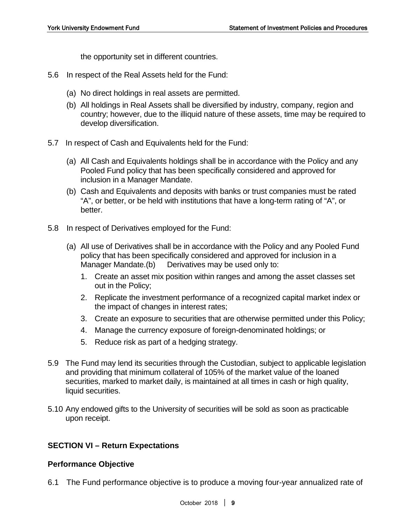the opportunity set in different countries.

- 5.6 In respect of the Real Assets held for the Fund:
	- (a) No direct holdings in real assets are permitted.
	- (b) All holdings in Real Assets shall be diversified by industry, company, region and country; however, due to the illiquid nature of these assets, time may be required to develop diversification.
- 5.7 In respect of Cash and Equivalents held for the Fund:
	- (a) All Cash and Equivalents holdings shall be in accordance with the Policy and any Pooled Fund policy that has been specifically considered and approved for inclusion in a Manager Mandate.
	- (b) Cash and Equivalents and deposits with banks or trust companies must be rated "A", or better, or be held with institutions that have a long-term rating of "A", or better.
- 5.8 In respect of Derivatives employed for the Fund:
	- (a) All use of Derivatives shall be in accordance with the Policy and any Pooled Fund policy that has been specifically considered and approved for inclusion in a Manager Mandate.(b) Derivatives may be used only to:
		- 1. Create an asset mix position within ranges and among the asset classes set out in the Policy;
		- 2. Replicate the investment performance of a recognized capital market index or the impact of changes in interest rates;
		- 3. Create an exposure to securities that are otherwise permitted under this Policy;
		- 4. Manage the currency exposure of foreign-denominated holdings; or
		- 5. Reduce risk as part of a hedging strategy.
- 5.9 The Fund may lend its securities through the Custodian, subject to applicable legislation and providing that minimum collateral of 105% of the market value of the loaned securities, marked to market daily, is maintained at all times in cash or high quality, liquid securities.
- 5.10 Any endowed gifts to the University of securities will be sold as soon as practicable upon receipt.

#### **SECTION VI – Return Expectations**

#### **Performance Objective**

6.1 The Fund performance objective is to produce a moving four-year annualized rate of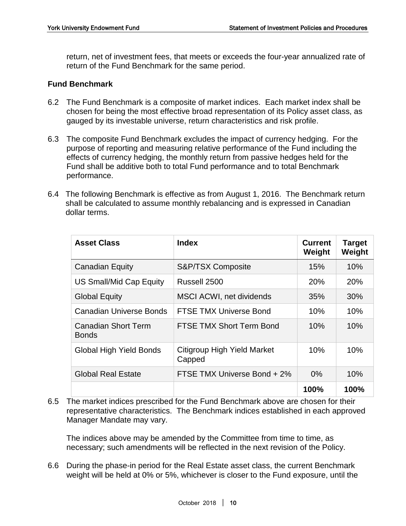return, net of investment fees, that meets or exceeds the four-year annualized rate of return of the Fund Benchmark for the same period.

#### **Fund Benchmark**

- 6.2 The Fund Benchmark is a composite of market indices. Each market index shall be chosen for being the most effective broad representation of its Policy asset class, as gauged by its investable universe, return characteristics and risk profile.
- 6.3 The composite Fund Benchmark excludes the impact of currency hedging. For the purpose of reporting and measuring relative performance of the Fund including the effects of currency hedging, the monthly return from passive hedges held for the Fund shall be additive both to total Fund performance and to total Benchmark performance.
- 6.4 The following Benchmark is effective as from August 1, 2016. The Benchmark return shall be calculated to assume monthly rebalancing and is expressed in Canadian dollar terms.

| <b>Asset Class</b>                         | <b>Index</b>                          | <b>Current</b><br>Weight | <b>Target</b><br>Weight |
|--------------------------------------------|---------------------------------------|--------------------------|-------------------------|
| <b>Canadian Equity</b>                     | <b>S&amp;P/TSX Composite</b>          | 15%                      | 10%                     |
| US Small/Mid Cap Equity                    | Russell 2500                          | 20%                      | 20%                     |
| <b>Global Equity</b>                       | <b>MSCI ACWI, net dividends</b>       | 35%                      | 30%                     |
| <b>Canadian Universe Bonds</b>             | <b>FTSE TMX Universe Bond</b>         | 10%                      | 10%                     |
| <b>Canadian Short Term</b><br><b>Bonds</b> | <b>FTSE TMX Short Term Bond</b>       | 10%                      | 10%                     |
| <b>Global High Yield Bonds</b>             | Citigroup High Yield Market<br>Capped | 10%                      | 10%                     |
| <b>Global Real Estate</b>                  | FTSE TMX Universe Bond + 2%           | $0\%$                    | 10%                     |
|                                            |                                       | 100%                     | 100%                    |

6.5 The market indices prescribed for the Fund Benchmark above are chosen for their representative characteristics. The Benchmark indices established in each approved Manager Mandate may vary.

The indices above may be amended by the Committee from time to time, as necessary; such amendments will be reflected in the next revision of the Policy.

6.6 During the phase-in period for the Real Estate asset class, the current Benchmark weight will be held at 0% or 5%, whichever is closer to the Fund exposure, until the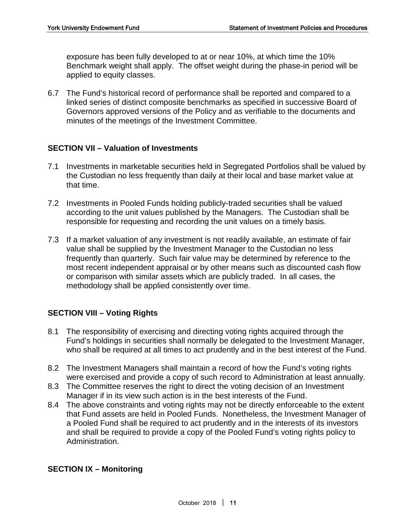exposure has been fully developed to at or near 10%, at which time the 10% Benchmark weight shall apply. The offset weight during the phase-in period will be applied to equity classes.

6.7 The Fund's historical record of performance shall be reported and compared to a linked series of distinct composite benchmarks as specified in successive Board of Governors approved versions of the Policy and as verifiable to the documents and minutes of the meetings of the Investment Committee.

## **SECTION VII – Valuation of Investments**

- 7.1 Investments in marketable securities held in Segregated Portfolios shall be valued by the Custodian no less frequently than daily at their local and base market value at that time.
- 7.2 Investments in Pooled Funds holding publicly-traded securities shall be valued according to the unit values published by the Managers. The Custodian shall be responsible for requesting and recording the unit values on a timely basis.
- 7.3 If a market valuation of any investment is not readily available, an estimate of fair value shall be supplied by the Investment Manager to the Custodian no less frequently than quarterly. Such fair value may be determined by reference to the most recent independent appraisal or by other means such as discounted cash flow or comparison with similar assets which are publicly traded. In all cases, the methodology shall be applied consistently over time.

# **SECTION VIII – Voting Rights**

- 8.1 The responsibility of exercising and directing voting rights acquired through the Fund's holdings in securities shall normally be delegated to the Investment Manager, who shall be required at all times to act prudently and in the best interest of the Fund.
- 8.2 The Investment Managers shall maintain a record of how the Fund's voting rights were exercised and provide a copy of such record to Administration at least annually.
- 8.3 The Committee reserves the right to direct the voting decision of an Investment Manager if in its view such action is in the best interests of the Fund.
- 8.4 The above constraints and voting rights may not be directly enforceable to the extent that Fund assets are held in Pooled Funds. Nonetheless, the Investment Manager of a Pooled Fund shall be required to act prudently and in the interests of its investors and shall be required to provide a copy of the Pooled Fund's voting rights policy to Administration.

#### **SECTION IX – Monitoring**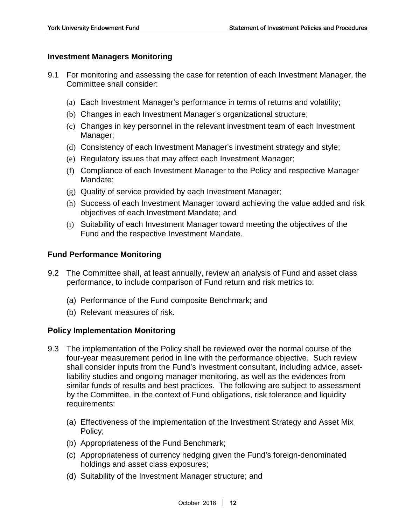#### **Investment Managers Monitoring**

- 9.1 For monitoring and assessing the case for retention of each Investment Manager, the Committee shall consider:
	- (a) Each Investment Manager's performance in terms of returns and volatility;
	- (b) Changes in each Investment Manager's organizational structure;
	- (c) Changes in key personnel in the relevant investment team of each Investment Manager;
	- (d) Consistency of each Investment Manager's investment strategy and style;
	- (e) Regulatory issues that may affect each Investment Manager;
	- (f) Compliance of each Investment Manager to the Policy and respective Manager Mandate;
	- (g) Quality of service provided by each Investment Manager;
	- (h) Success of each Investment Manager toward achieving the value added and risk objectives of each Investment Mandate; and
	- (i) Suitability of each Investment Manager toward meeting the objectives of the Fund and the respective Investment Mandate.

#### **Fund Performance Monitoring**

- 9.2 The Committee shall, at least annually, review an analysis of Fund and asset class performance, to include comparison of Fund return and risk metrics to:
	- (a) Performance of the Fund composite Benchmark; and
	- (b) Relevant measures of risk.

#### **Policy Implementation Monitoring**

- 9.3 The implementation of the Policy shall be reviewed over the normal course of the four-year measurement period in line with the performance objective. Such review shall consider inputs from the Fund's investment consultant, including advice, assetliability studies and ongoing manager monitoring, as well as the evidences from similar funds of results and best practices. The following are subject to assessment by the Committee, in the context of Fund obligations, risk tolerance and liquidity requirements:
	- (a) Effectiveness of the implementation of the Investment Strategy and Asset Mix Policy;
	- (b) Appropriateness of the Fund Benchmark;
	- (c) Appropriateness of currency hedging given the Fund's foreign-denominated holdings and asset class exposures;
	- (d) Suitability of the Investment Manager structure; and